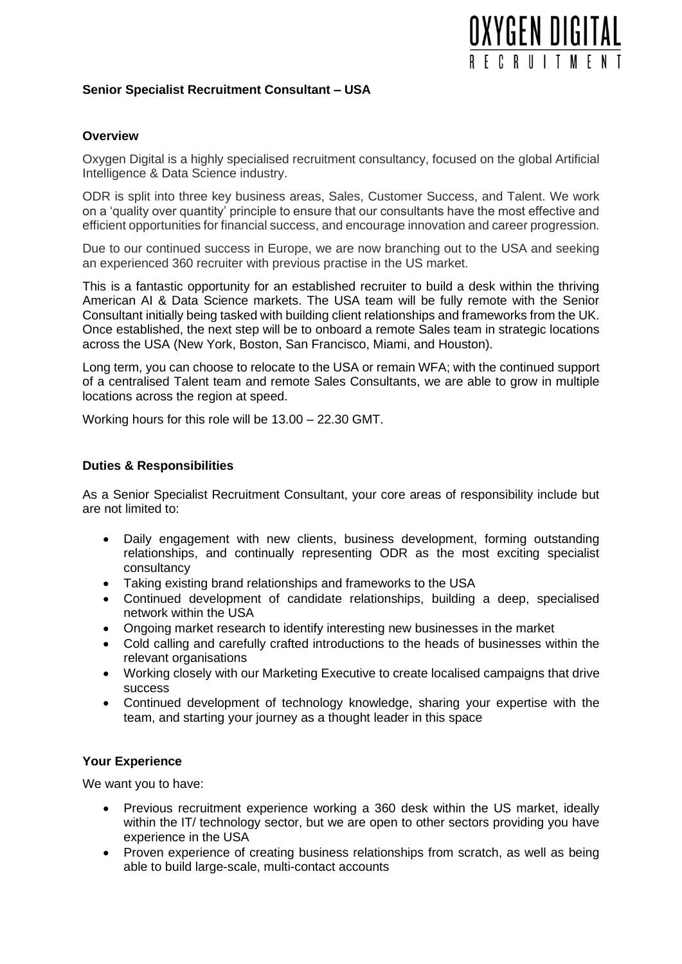

# **Senior Specialist Recruitment Consultant – USA**

# **Overview**

Oxygen Digital is a highly specialised recruitment consultancy, focused on the global Artificial Intelligence & Data Science industry.

ODR is split into three key business areas, Sales, Customer Success, and Talent. We work on a 'quality over quantity' principle to ensure that our consultants have the most effective and efficient opportunities for financial success, and encourage innovation and career progression.

Due to our continued success in Europe, we are now branching out to the USA and seeking an experienced 360 recruiter with previous practise in the US market.

This is a fantastic opportunity for an established recruiter to build a desk within the thriving American AI & Data Science markets. The USA team will be fully remote with the Senior Consultant initially being tasked with building client relationships and frameworks from the UK. Once established, the next step will be to onboard a remote Sales team in strategic locations across the USA (New York, Boston, San Francisco, Miami, and Houston).

Long term, you can choose to relocate to the USA or remain WFA; with the continued support of a centralised Talent team and remote Sales Consultants, we are able to grow in multiple locations across the region at speed.

Working hours for this role will be 13.00 – 22.30 GMT.

### **Duties & Responsibilities**

As a Senior Specialist Recruitment Consultant, your core areas of responsibility include but are not limited to:

- Daily engagement with new clients, business development, forming outstanding relationships, and continually representing ODR as the most exciting specialist consultancy
- Taking existing brand relationships and frameworks to the USA
- Continued development of candidate relationships, building a deep, specialised network within the USA
- Ongoing market research to identify interesting new businesses in the market
- Cold calling and carefully crafted introductions to the heads of businesses within the relevant organisations
- Working closely with our Marketing Executive to create localised campaigns that drive success
- Continued development of technology knowledge, sharing your expertise with the team, and starting your journey as a thought leader in this space

### **Your Experience**

We want you to have:

- Previous recruitment experience working a 360 desk within the US market, ideally within the IT/ technology sector, but we are open to other sectors providing you have experience in the USA
- Proven experience of creating business relationships from scratch, as well as being able to build large-scale, multi-contact accounts